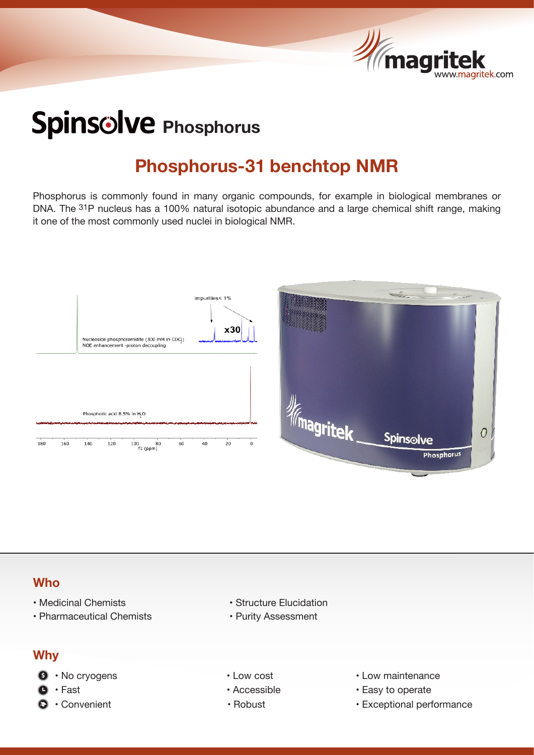

# Spins<sup>olve</sup> Phosphorus

### **Phosphorus-31 benchtop NMR**

Phosphorus is commonly found in many organic compounds, for example in biological membranes or DNA. The <sup>31</sup>P nucleus has a 100% natural isotopic abundance and a large chemical shift range, making it one of the most commonly used nuclei in biological NMR.



#### **Who**

- 
- Pharmaceutical Chemists Purity Assessment

#### **Why**

- **8** No cryogens Low cost Low cost Low maintenance
	-
- 
- Medicinal Chemists Structure Elucidation
	-
	-
	-
	-
- 
- **Fast Accessible Fast Fast Fast Fast Fast Fast Fast Fast Fast Fast Fast Fast Fast Fast Fast Fast Fast Fast Fast Fast Fast Fast**
- Convenient Robust Robust Exceptional performance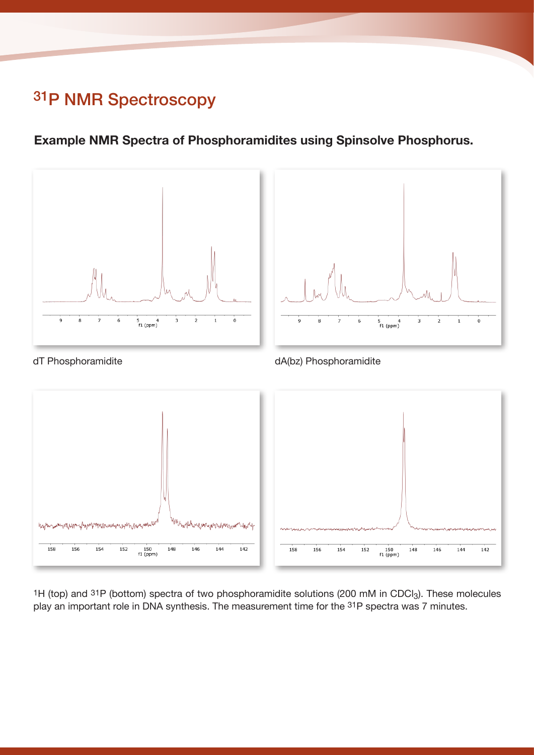# 31P NMR Spectroscopy

#### **Example NMR Spectra of Phosphoramidites using Spinsolve Phosphorus.**



<sup>1</sup>H (top) and <sup>31</sup>P (bottom) spectra of two phosphoramidite solutions (200 mM in CDCl<sub>3</sub>). These molecules play an important role in DNA synthesis. The measurement time for the 31P spectra was 7 minutes.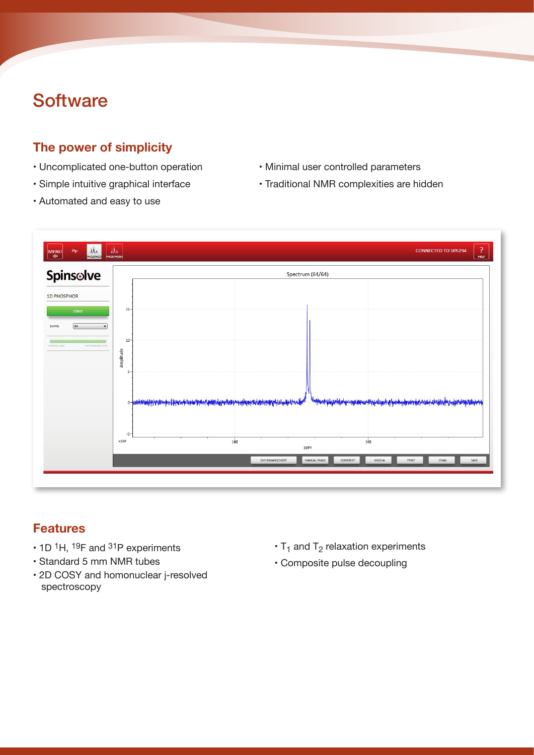# **Software**

#### **The power of simplicity**

- Uncomplicated one-button operation Minimal user controlled parameters
- 
- Automated and easy to use
- 
- Simple intuitive graphical interface Traditional NMR complexities are hidden



#### **Features**

- 1D <sup>1</sup>H, <sup>19</sup>F and <sup>31</sup>P experiments
- Standard 5 mm NMR tubes
- 2D COSY and homonuclear j-resolved spectroscopy
- $\cdot$  T<sub>1</sub> and T<sub>2</sub> relaxation experiments
- Composite pulse decoupling